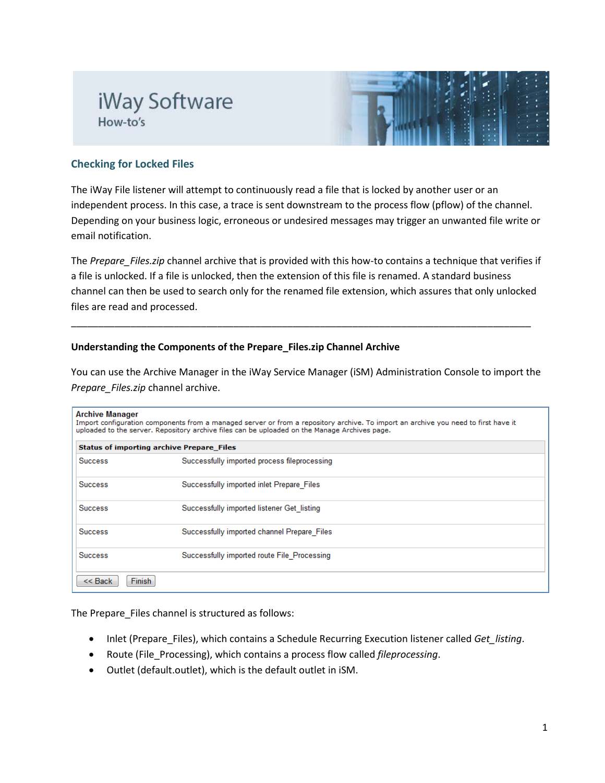# iWay Software How-to's



## **Checking for Locked Files**

The iWay File listener will attempt to continuously read a file that is locked by another user or an independent process. In this case, a trace is sent downstream to the process flow (pflow) of the channel. Depending on your business logic, erroneous or undesired messages may trigger an unwanted file write or email notification.

The *Prepare\_Files.zip* channel archive that is provided with this how-to contains a technique that verifies if a file is unlocked. If a file is unlocked, then the extension of this file is renamed. A standard business channel can then be used to search only for the renamed file extension, which assures that only unlocked files are read and processed.

\_\_\_\_\_\_\_\_\_\_\_\_\_\_\_\_\_\_\_\_\_\_\_\_\_\_\_\_\_\_\_\_\_\_\_\_\_\_\_\_\_\_\_\_\_\_\_\_\_\_\_\_\_\_\_\_\_\_\_\_\_\_\_\_\_\_\_\_\_\_\_\_\_\_\_\_\_\_\_\_\_\_\_\_\_

### **Understanding the Components of the Prepare\_Files.zip Channel Archive**

You can use the Archive Manager in the iWay Service Manager (iSM) Administration Console to import the *Prepare\_Files.zip* channel archive.

#### **Archive Manager**

Import configuration components from a managed server or from a repository archive. To import an archive you need to first have it uploaded to the server. Repository archive files can be uploaded on the Manage Archives page.

| <b>Status of importing archive Prepare Files</b> |                                              |  |  |
|--------------------------------------------------|----------------------------------------------|--|--|
| <b>Success</b>                                   | Successfully imported process fileprocessing |  |  |
| <b>Success</b>                                   | Successfully imported inlet Prepare Files    |  |  |
| <b>Success</b>                                   | Successfully imported listener Get listing   |  |  |
| <b>Success</b>                                   | Successfully imported channel Prepare Files  |  |  |
| <b>Success</b>                                   | Successfully imported route File Processing  |  |  |
| Finish<br>$<<$ Back                              |                                              |  |  |

The Prepare Files channel is structured as follows:

- Inlet (Prepare Files), which contains a Schedule Recurring Execution listener called *Get listing*.
- Route (File\_Processing), which contains a process flow called *fileprocessing*.
- Outlet (default.outlet), which is the default outlet in iSM.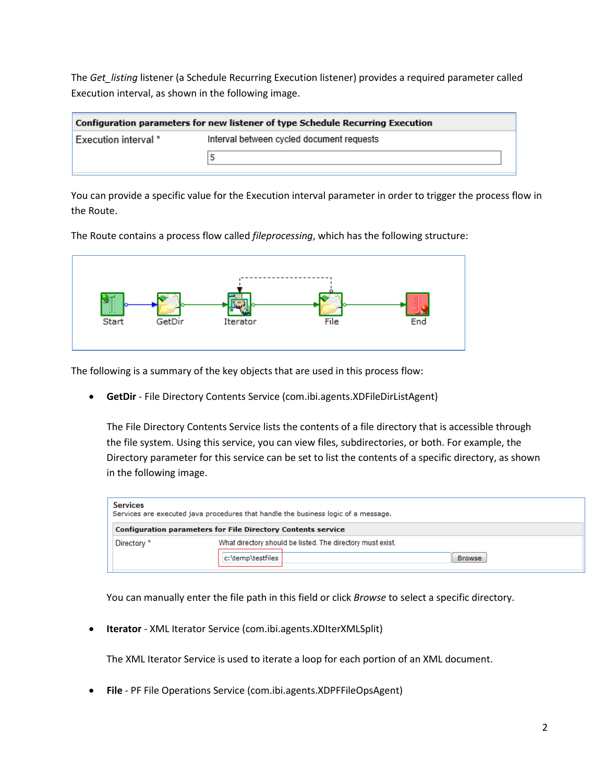The *Get\_listing* listener (a Schedule Recurring Execution listener) provides a required parameter called Execution interval, as shown in the following image.

| Configuration parameters for new listener of type Schedule Recurring Execution |                                           |  |  |
|--------------------------------------------------------------------------------|-------------------------------------------|--|--|
| Execution interval *                                                           | Interval between cycled document requests |  |  |
|                                                                                |                                           |  |  |

You can provide a specific value for the Execution interval parameter in order to trigger the process flow in the Route.

The Route contains a process flow called *fileprocessing*, which has the following structure:



The following is a summary of the key objects that are used in this process flow:

• **GetDir** - File Directory Contents Service (com.ibi.agents.XDFileDirListAgent)

The File Directory Contents Service lists the contents of a file directory that is accessible through the file system. Using this service, you can view files, subdirectories, or both. For example, the Directory parameter for this service can be set to list the contents of a specific directory, as shown in the following image.

| <b>Services</b>                                                     | Services are executed java procedures that handle the business logic of a message. |  |  |
|---------------------------------------------------------------------|------------------------------------------------------------------------------------|--|--|
| <b>Configuration parameters for File Directory Contents service</b> |                                                                                    |  |  |
| Directory *                                                         | What directory should be listed. The directory must exist.                         |  |  |
|                                                                     | c:\temp\testfiles<br><b>Browse</b>                                                 |  |  |

You can manually enter the file path in this field or click *Browse* to select a specific directory.

• **Iterator** - XML Iterator Service (com.ibi.agents.XDIterXMLSplit)

The XML Iterator Service is used to iterate a loop for each portion of an XML document.

• **File** - PF File Operations Service (com.ibi.agents.XDPFFileOpsAgent)